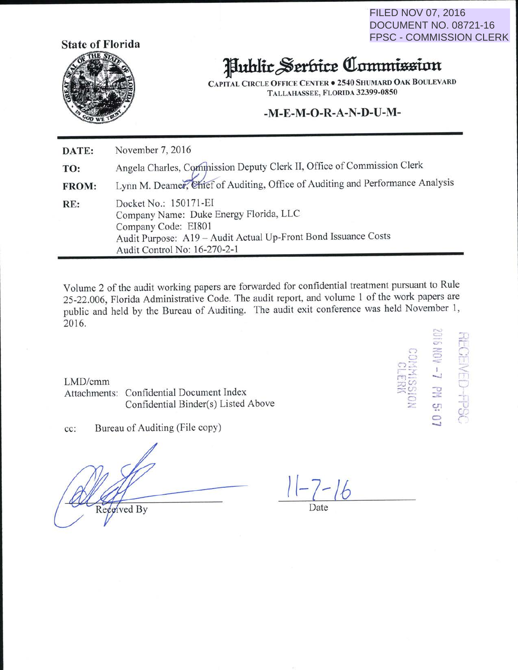**FILED NOV 07, 2016 DOCUMENT NO. 08721-16 FPSC - COMMISSION CLERK** 

**KCHVED-FPSC** 

 $-7$  eM 5:



# **Hublic Serbice Commission**

**CAPITAL CIRCLE OFFICE CENTER . 2540 SHUMARD OAK BOULEVARD** TALLAHASSEE, FLORIDA 32399-0850

#### -M-E-M-O-R-A-N-D-U-M-

November 7, 2016 DATE: Angela Charles, Commission Deputy Clerk II, Office of Commission Clerk TO: Lynn M. Deamer, Chief of Auditing, Office of Auditing and Performance Analysis FROM: Docket No.: 150171-EI RE: Company Name: Duke Energy Florida, LLC Company Code: EI801 Audit Purpose: A19 - Audit Actual Up-Front Bond Issuance Costs Audit Control No: 16-270-2-1

Volume 2 of the audit working papers are forwarded for confidential treatment pursuant to Rule 25-22.006, Florida Administrative Code. The audit report, and volume 1 of the work papers are public and held by the Bureau of Auditing. The audit exit conference was held November 1, 2016.

LMD/cmm

Attachments: Confidential Document Index Confidential Binder(s) Listed Above

Bureau of Auditing (File copy) cc:

Recoived By

 $1 - 7 - 16$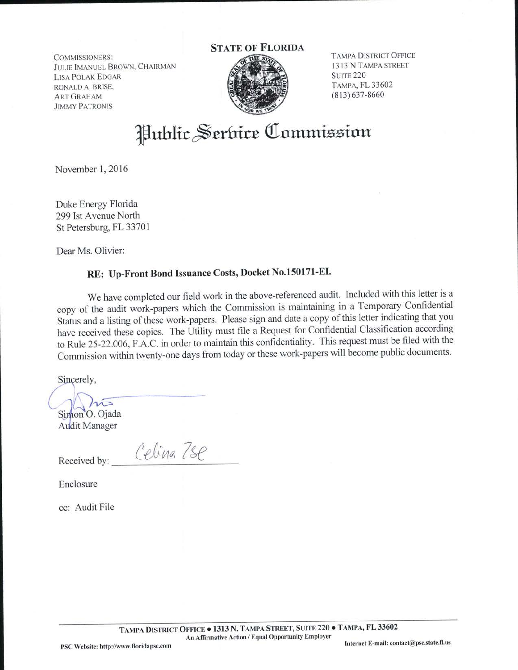COMMISSIONERS: JULIE IMANUEL BROWN, CHAIRMAN LISA POLAK EDGAR RONALD A. BRISE, ART GRAHAM JIMMY PATRONIS

### STATE OF FLORIDA



TAMPA DISTRICT OFFICE 1313 N TAMPA STREET **SUITE 220** TAMPA, FL 33602 (813) 637-8660

# Hublic Serbice Commission

November 1, 2016

Duke Energy Florida 299 Ist Avenue North St Petersburg, FL 33701

Dear Ms. Olivier:

## RE: Up-Front Bond Issuance Costs, Docket No.l50171-EI.

We have completed our field work in the above-referenced audit. Included with this letter is a copy of the audit work-papers which the Commission is maintaining in a Temporary Confidential Status and a listing of these work-papers. Please sign and date a copy of this letter indicating that you have received these copies. The Utility must file a Request for Confidential Classification according to Rule 25-22.006, F.A.C. in order to maintain this confidentiality. This request must be filed with the Commission within twenty-one days from today or these work-papers will become public documents.

Sincerely,

 $\ln$ Simon O. Ojada

Audit Manager

 $\ell$ elina 7se

Enclosure

cc: Audit File